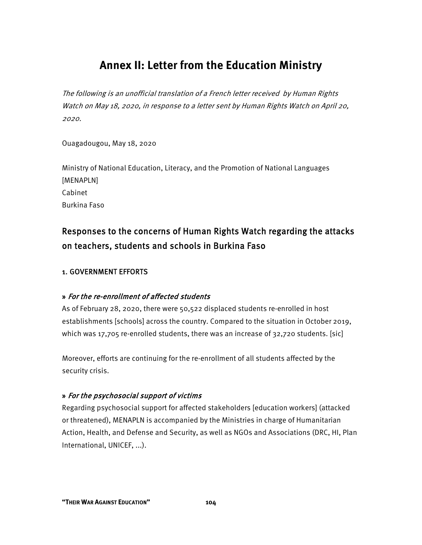# **Annex II: Letter from the Education Ministry**

The following is an unofficial translation of a French letter received by Human Rights Watch on May 18, 2020, in response to a letter sent by Human Rights Watch on April 20, 2020.

Ouagadougou, May 18, 2020

Ministry of National Education, Literacy, and the Promotion of National Languages [MENAPLN] Cabinet Burkina Faso

# Responses to the concerns of Human Rights Watch regarding the attacks on teachers, students and schools in Burkina Faso

# 1. GOVERNMENT EFFORTS

# » For the re-enrollment of affected students

As of February 28, 2020, there were 50,522 displaced students re-enrolled in host establishments [schools] across the country. Compared to the situation in October 2019, which was 17,705 re-enrolled students, there was an increase of 32,720 students. [sic]

Moreover, efforts are continuing for the re-enrollment of all students affected by the security crisis.

# » For the psychosocial support of victims

Regarding psychosocial support for affected stakeholders [education workers] (attacked or threatened), MENAPLN is accompanied by the Ministries in charge of Humanitarian Action, Health, and Defense and Security, as well as NGOs and Associations (DRC, HI, Plan International, UNICEF, ...).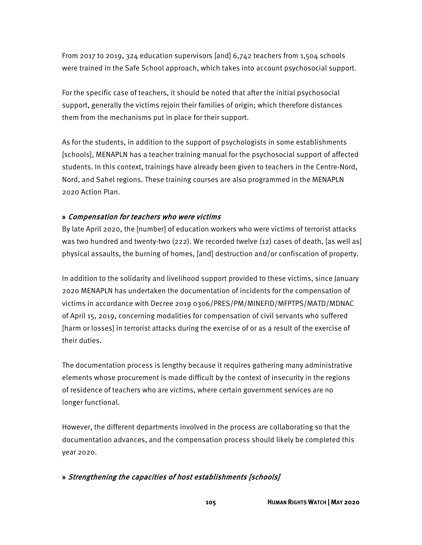From 2017 to 2019, 324 education supervisors [and] 6,742 teachers from 1,504 schools were trained in the Safe School approach, which takes into account psychosocial support.

For the specific case of teachers, it should be noted that after the initial psychosocial support, generally the victims rejoin their families of origin; which therefore distances them from the mechanisms put in place for their support.

As for the students, in addition to the support of psychologists in some establishments [schools], MENAPLN has a teacher training manual for the psychosocial support of affected students. In this context, trainings have already been given to teachers in the Centre-Nord, Nord, and Sahel regions. These training courses are also programmed in the MENAPLN 2020 Action Plan.

#### » Compensation for teachers who were victims

By late April 2020, the [number] of education workers who were victims of terrorist attacks was two hundred and twenty-two (222). We recorded twelve (12) cases of death, [as well as] physical assaults, the burning of homes, [and] destruction and/or confiscation of property.

In addition to the solidarity and livelihood support provided to these victims, since January 2020 MENAPLN has undertaken the documentation of incidents for the compensation of victims in accordance with Decree 2019 0306/PRES/PM/MINEFID/MFPTPS/MATD/MDNAC of April 15, 2019, concerning modalities for compensation of civil servants who suffered [harm or losses] in terrorist attacks during the exercise of or as a result of the exercise of their duties.

The documentation process is lengthy because it requires gathering many administrative elements whose procurement is made difficult by the context of insecurity in the regions of residence of teachers who are victims, where certain government services are no longer functional.

However, the different departments involved in the process are collaborating so that the documentation advances, and the compensation process should likely be completed this year 2020.

#### » Strengthening the capacities of host establishments [schools]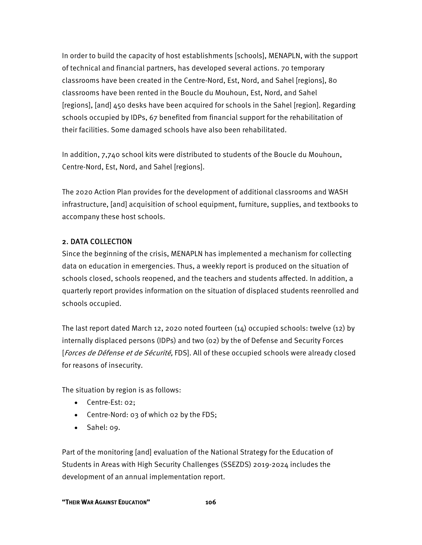In order to build the capacity of host establishments [schools], MENAPLN, with the support of technical and financial partners, has developed several actions. 70 temporary classrooms have been created in the Centre-Nord, Est, Nord, and Sahel [regions], 80 classrooms have been rented in the Boucle du Mouhoun, Est, Nord, and Sahel [regions], [and] 450 desks have been acquired for schools in the Sahel [region]. Regarding schools occupied by IDPs, 67 benefited from financial support for the rehabilitation of their facilities. Some damaged schools have also been rehabilitated.

In addition, 7,740 school kits were distributed to students of the Boucle du Mouhoun, Centre-Nord, Est, Nord, and Sahel [regions].

The 2020 Action Plan provides for the development of additional classrooms and WASH infrastructure, [and] acquisition of school equipment, furniture, supplies, and textbooks to accompany these host schools.

#### 2. DATA COLLECTION

Since the beginning of the crisis, MENAPLN has implemented a mechanism for collecting data on education in emergencies. Thus, a weekly report is produced on the situation of schools closed, schools reopened, and the teachers and students affected. In addition, a quarterly report provides information on the situation of displaced students reenrolled and schools occupied.

The last report dated March 12, 2020 noted fourteen (14) occupied schools: twelve (12) by internally displaced persons (IDPs) and two (02) by the of Defense and Security Forces [Forces de Défense et de Sécurité, FDS]. All of these occupied schools were already closed for reasons of insecurity.

The situation by region is as follows:

- Centre-Est: 02;
- Centre-Nord: 03 of which 02 by the FDS;
- Sahel: 09.

Part of the monitoring [and] evaluation of the National Strategy for the Education of Students in Areas with High Security Challenges (SSEZDS) 2019-2024 includes the development of an annual implementation report.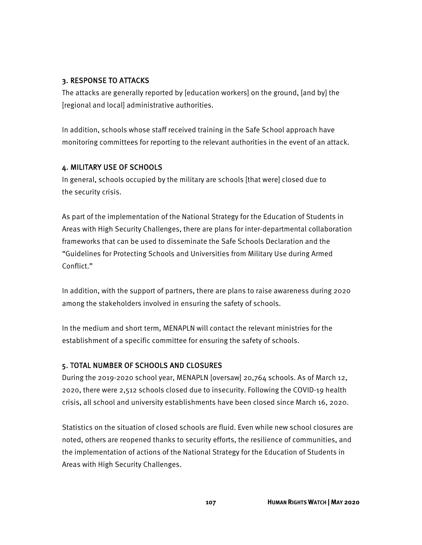#### 3. RESPONSE TO ATTACKS

The attacks are generally reported by [education workers] on the ground, [and by] the [regional and local] administrative authorities.

In addition, schools whose staff received training in the Safe School approach have monitoring committees for reporting to the relevant authorities in the event of an attack.

# 4. MILITARY USE OF SCHOOLS

In general, schools occupied by the military are schools [that were] closed due to the security crisis.

As part of the implementation of the National Strategy for the Education of Students in Areas with High Security Challenges, there are plans for inter-departmental collaboration frameworks that can be used to disseminate the Safe Schools Declaration and the "Guidelines for Protecting Schools and Universities from Military Use during Armed Conflict."

In addition, with the support of partners, there are plans to raise awareness during 2020 among the stakeholders involved in ensuring the safety of schools.

In the medium and short term, MENAPLN will contact the relevant ministries for the establishment of a specific committee for ensuring the safety of schools.

# 5. TOTAL NUMBER OF SCHOOLS AND CLOSURES

During the 2019-2020 school year, MENAPLN [oversaw] 20,764 schools. As of March 12, 2020, there were 2,512 schools closed due to insecurity. Following the COVID-19 health crisis, all school and university establishments have been closed since March 16, 2020.

Statistics on the situation of closed schools are fluid. Even while new school closures are noted, others are reopened thanks to security efforts, the resilience of communities, and the implementation of actions of the National Strategy for the Education of Students in Areas with High Security Challenges.